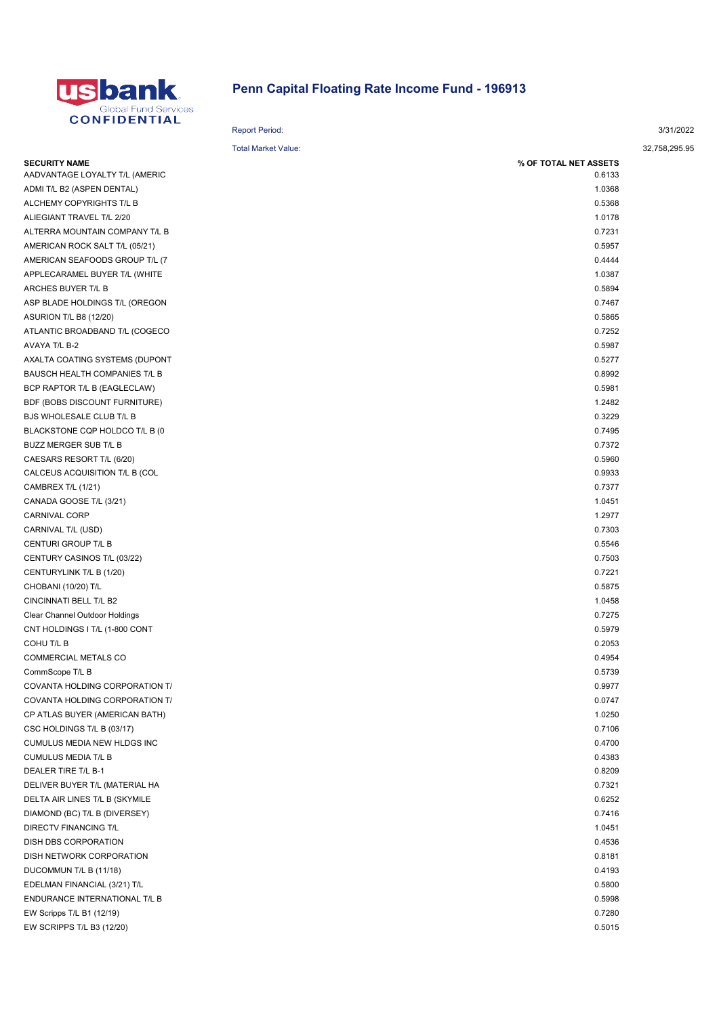

## Penn Capital Floating Rate Income Fund - 196913

| .                              | <b>Report Period:</b>      |                       | 3/31/2022     |
|--------------------------------|----------------------------|-----------------------|---------------|
|                                | <b>Total Market Value:</b> |                       | 32,758,295.95 |
| <b>SECURITY NAME</b>           |                            | % OF TOTAL NET ASSETS |               |
| AADVANTAGE LOYALTY T/L (AMERIC |                            | 0.6133                |               |
| ADMI T/L B2 (ASPEN DENTAL)     |                            | 1.0368                |               |
| ALCHEMY COPYRIGHTS T/L B       |                            | 0.5368                |               |
| ALIEGIANT TRAVEL T/L 2/20      |                            | 1.0178                |               |
| ALTERRA MOUNTAIN COMPANY T/L B |                            | 0.7231                |               |
| AMERICAN ROCK SALT T/L (05/21) |                            | 0.5957                |               |
| AMERICAN SEAFOODS GROUP T/L (7 |                            | 0.4444                |               |
| APPLECARAMEL BUYER T/L (WHITE  |                            | 1.0387                |               |
| ARCHES BUYER T/L B             |                            | 0.5894                |               |
| ASP BLADE HOLDINGS T/L (OREGON |                            | 0.7467                |               |
| <b>ASURION T/L B8 (12/20)</b>  |                            | 0.5865                |               |
| ATLANTIC BROADBAND T/L (COGECO |                            | 0.7252                |               |
| AVAYA T/L B-2                  |                            | 0.5987                |               |
| AXALTA COATING SYSTEMS (DUPONT |                            | 0.5277                |               |
| BAUSCH HEALTH COMPANIES T/L B  |                            | 0.8992                |               |
| BCP RAPTOR T/L B (EAGLECLAW)   |                            | 0.5981                |               |
| BDF (BOBS DISCOUNT FURNITURE)  |                            | 1.2482                |               |
| BJS WHOLESALE CLUB T/L B       |                            | 0.3229                |               |
| BLACKSTONE CQP HOLDCO T/L B (0 |                            | 0.7495                |               |
| BUZZ MERGER SUB T/L B          |                            | 0.7372                |               |
| CAESARS RESORT T/L (6/20)      |                            | 0.5960                |               |
| CALCEUS ACQUISITION T/L B (COL |                            | 0.9933                |               |
| CAMBREX T/L (1/21)             |                            | 0.7377                |               |
| CANADA GOOSE T/L (3/21)        |                            | 1.0451                |               |
| <b>CARNIVAL CORP</b>           |                            | 1.2977                |               |
| CARNIVAL T/L (USD)             |                            | 0.7303                |               |
| CENTURI GROUP T/L B            |                            | 0.5546                |               |
| CENTURY CASINOS T/L (03/22)    |                            | 0.7503                |               |
| CENTURYLINK T/L B (1/20)       |                            | 0.7221                |               |
| CHOBANI (10/20) T/L            |                            | 0.5875                |               |
| CINCINNATI BELL T/L B2         |                            | 1.0458                |               |
| Clear Channel Outdoor Holdings |                            | 0.7275                |               |
| CNT HOLDINGS I T/L (1-800 CONT |                            | 0.5979                |               |
| COHU T/L B                     |                            | 0.2053                |               |
| <b>COMMERCIAL METALS CO</b>    |                            | 0.4954                |               |
| CommScope T/L B                |                            | 0.5739                |               |
| COVANTA HOLDING CORPORATION T/ |                            | 0.9977                |               |
| COVANTA HOLDING CORPORATION T/ |                            | 0.0747                |               |
| CP ATLAS BUYER (AMERICAN BATH) |                            | 1.0250                |               |
| CSC HOLDINGS T/L B (03/17)     |                            | 0.7106                |               |
| CUMULUS MEDIA NEW HLDGS INC    |                            | 0.4700                |               |
| <b>CUMULUS MEDIA T/L B</b>     |                            | 0.4383                |               |
| DEALER TIRE T/L B-1            |                            | 0.8209                |               |
| DELIVER BUYER T/L (MATERIAL HA |                            | 0.7321                |               |
| DELTA AIR LINES T/L B (SKYMILE |                            | 0.6252                |               |
| DIAMOND (BC) T/L B (DIVERSEY)  |                            | 0.7416                |               |
| DIRECTV FINANCING T/L          |                            | 1.0451                |               |
| DISH DBS CORPORATION           |                            | 0.4536                |               |
| DISH NETWORK CORPORATION       |                            | 0.8181                |               |
| DUCOMMUN T/L B (11/18)         |                            | 0.4193                |               |
| EDELMAN FINANCIAL (3/21) T/L   |                            | 0.5800                |               |
| ENDURANCE INTERNATIONAL T/L B  |                            | 0.5998                |               |
| EW Scripps T/L B1 (12/19)      |                            | 0.7280                |               |
|                                |                            |                       |               |

EW SCRIPPS T/L B3 (12/20) 0.5015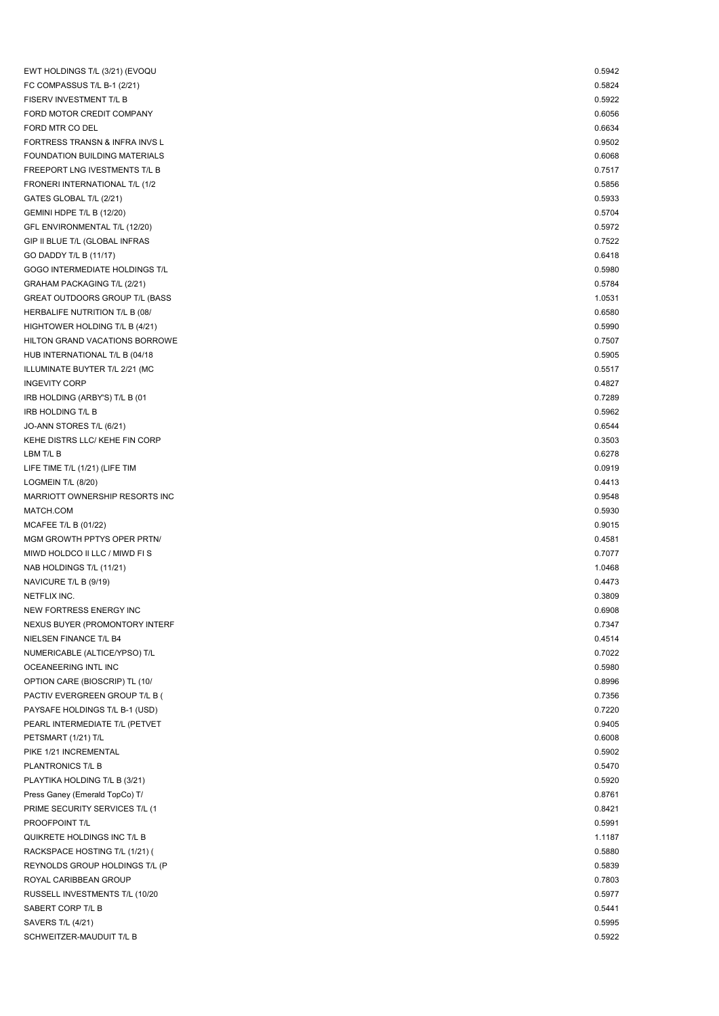| EWT HOLDINGS T/L (3/21) (EVOQU         | 0.5942 |
|----------------------------------------|--------|
| FC COMPASSUS T/L B-1 (2/21)            | 0.5824 |
| FISERV INVESTMENT T/L B                | 0.5922 |
| FORD MOTOR CREDIT COMPANY              | 0.6056 |
| FORD MTR CO DEL                        | 0.6634 |
| FORTRESS TRANSN & INFRA INVS L         | 0.9502 |
| <b>FOUNDATION BUILDING MATERIALS</b>   | 0.6068 |
| FREEPORT LNG IVESTMENTS T/L B          | 0.7517 |
| FRONERI INTERNATIONAL T/L (1/2         | 0.5856 |
| GATES GLOBAL T/L (2/21)                | 0.5933 |
| GEMINI HDPE T/L B (12/20)              | 0.5704 |
| GFL ENVIRONMENTAL T/L (12/20)          | 0.5972 |
| GIP II BLUE T/L (GLOBAL INFRAS         | 0.7522 |
| GO DADDY T/L B (11/17)                 | 0.6418 |
| GOGO INTERMEDIATE HOLDINGS T/L         | 0.5980 |
| GRAHAM PACKAGING T/L (2/21)            | 0.5784 |
| <b>GREAT OUTDOORS GROUP T/L (BASS)</b> | 1.0531 |
| HERBALIFE NUTRITION T/L B (08/         | 0.6580 |
| HIGHTOWER HOLDING T/L B (4/21)         | 0.5990 |
| HILTON GRAND VACATIONS BORROWE         | 0.7507 |
| HUB INTERNATIONAL T/L B (04/18         | 0.5905 |
| ILLUMINATE BUYTER T/L 2/21 (MC         | 0.5517 |
| <b>INGEVITY CORP</b>                   | 0.4827 |
| IRB HOLDING (ARBY'S) T/L B (01         | 0.7289 |
| <b>IRB HOLDING T/L B</b>               | 0.5962 |
| JO-ANN STORES T/L (6/21)               | 0.6544 |
| KEHE DISTRS LLC/ KEHE FIN CORP         | 0.3503 |
| LBM T/L B                              | 0.6278 |
| LIFE TIME T/L (1/21) (LIFE TIM         | 0.0919 |
| LOGMEIN T/L (8/20)                     | 0.4413 |
| MARRIOTT OWNERSHIP RESORTS INC         | 0.9548 |
| MATCH.COM                              | 0.5930 |
| MCAFEE T/L B $(01/22)$                 | 0.9015 |
| MGM GROWTH PPTYS OPER PRTN/            | 0.4581 |
| MIWD HOLDCO II LLC / MIWD FIS          | 0.7077 |
| NAB HOLDINGS T/L (11/21)               | 1.0468 |
| NAVICURE T/L B (9/19)                  | 0.4473 |
| NETFLIX INC.                           | 0.3809 |
| NEW FORTRESS ENERGY INC                | 0.6908 |
| NEXUS BUYER (PROMONTORY INTERF         | 0.7347 |
| NIELSEN FINANCE T/L B4                 | 0.4514 |
| NUMERICABLE (ALTICE/YPSO) T/L          | 0.7022 |
| OCEANEERING INTL INC                   | 0.5980 |
| OPTION CARE (BIOSCRIP) TL (10/         | 0.8996 |
| PACTIV EVERGREEN GROUP T/L B (         | 0.7356 |
| PAYSAFE HOLDINGS T/L B-1 (USD)         | 0.7220 |
| PEARL INTERMEDIATE T/L (PETVET         | 0.9405 |
| PETSMART (1/21) T/L                    | 0.6008 |
| PIKE 1/21 INCREMENTAL                  | 0.5902 |
| PLANTRONICS T/L B                      | 0.5470 |
| PLAYTIKA HOLDING T/L B (3/21)          | 0.5920 |
| Press Ganey (Emerald TopCo) T/         | 0.8761 |
| PRIME SECURITY SERVICES T/L (1         | 0.8421 |
| PROOFPOINT T/L                         | 0.5991 |
| QUIKRETE HOLDINGS INC T/L B            | 1.1187 |
| RACKSPACE HOSTING T/L (1/21) (         | 0.5880 |
| REYNOLDS GROUP HOLDINGS T/L (P         | 0.5839 |
| ROYAL CARIBBEAN GROUP                  | 0.7803 |
| RUSSELL INVESTMENTS T/L (10/20         | 0.5977 |
| SABERT CORP T/L B                      | 0.5441 |
| SAVERS T/L (4/21)                      | 0.5995 |
| SCHWEITZER-MAUDUIT T/L B               | 0.5922 |
|                                        |        |